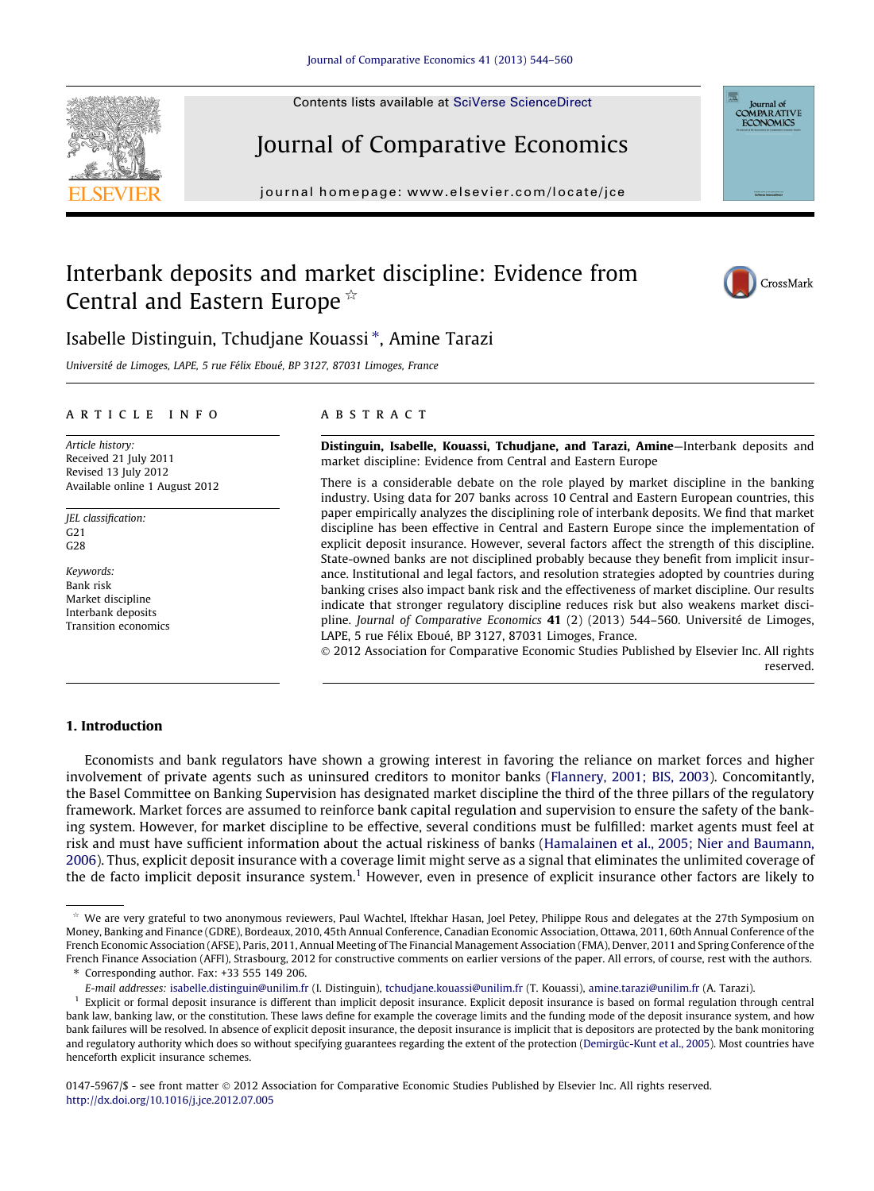Contents lists available at [SciVerse ScienceDirect](http://www.sciencedirect.com/science/journal/01475967)

# Journal of Comparative Economics

journal homepage: [www.elsevier.com/locate/jce](http://www.elsevier.com/locate/jce)

### Interbank deposits and market discipline: Evidence from Central and Eastern Europe  $\dot{\mathbf{x}}$



Journal of<br>COMPARATIVE<br>ECONOMICS

Isabelle Distinguin, Tchudjane Kouassi \*, Amine Tarazi

Université de Limoges, LAPE, 5 rue Félix Eboué, BP 3127, 87031 Limoges, France

#### article info

Article history: Received 21 July 2011 Revised 13 July 2012 Available online 1 August 2012

JEL classification: G21  $C<sub>28</sub>$ 

Keywords: Bank risk Market discipline Interbank deposits Transition economics

#### abstract

Distinguin, Isabelle, Kouassi, Tchudjane, and Tarazi, Amine—Interbank deposits and market discipline: Evidence from Central and Eastern Europe

There is a considerable debate on the role played by market discipline in the banking industry. Using data for 207 banks across 10 Central and Eastern European countries, this paper empirically analyzes the disciplining role of interbank deposits. We find that market discipline has been effective in Central and Eastern Europe since the implementation of explicit deposit insurance. However, several factors affect the strength of this discipline. State-owned banks are not disciplined probably because they benefit from implicit insurance. Institutional and legal factors, and resolution strategies adopted by countries during banking crises also impact bank risk and the effectiveness of market discipline. Our results indicate that stronger regulatory discipline reduces risk but also weakens market discipline. Journal of Comparative Economics 41 (2) (2013) 544–560. Université de Limoges, LAPE, 5 rue Félix Eboué, BP 3127, 87031 Limoges, France.

© 2012 Association for Comparative Economic Studies Published by Elsevier Inc. All rights reserved.

#### 1. Introduction

Economists and bank regulators have shown a growing interest in favoring the reliance on market forces and higher involvement of private agents such as uninsured creditors to monitor banks [\(Flannery, 2001; BIS, 2003](#page--1-0)). Concomitantly, the Basel Committee on Banking Supervision has designated market discipline the third of the three pillars of the regulatory framework. Market forces are assumed to reinforce bank capital regulation and supervision to ensure the safety of the banking system. However, for market discipline to be effective, several conditions must be fulfilled: market agents must feel at risk and must have sufficient information about the actual riskiness of banks [\(Hamalainen et al., 2005; Nier and Baumann,](#page--1-0) [2006](#page--1-0)). Thus, explicit deposit insurance with a coverage limit might serve as a signal that eliminates the unlimited coverage of the de facto implicit deposit insurance system.<sup>1</sup> However, even in presence of explicit insurance other factors are likely to



 $^\star$  We are very grateful to two anonymous reviewers, Paul Wachtel, Iftekhar Hasan, Joel Petey, Philippe Rous and delegates at the 27th Symposium on Money, Banking and Finance (GDRE), Bordeaux, 2010, 45th Annual Conference, Canadian Economic Association, Ottawa, 2011, 60th Annual Conference of the French Economic Association (AFSE), Paris, 2011, Annual Meeting of The Financial Management Association (FMA), Denver, 2011 and Spring Conference of the French Finance Association (AFFI), Strasbourg, 2012 for constructive comments on earlier versions of the paper. All errors, of course, rest with the authors. ⇑ Corresponding author. Fax: +33 555 149 206.

E-mail addresses: [isabelle.distinguin@unilim.fr](mailto:isabelle.distinguin@unilim.fr) (I. Distinguin), [tchudjane.kouassi@unilim.fr](mailto:tchudjane.kouassi@unilim.fr) (T. Kouassi), [amine.tarazi@unilim.fr](mailto:amine.tarazi@unilim.fr) (A. Tarazi).

 $^1$  Explicit or formal deposit insurance is different than implicit deposit insurance. Explicit deposit insurance is based on formal regulation through central bank law, banking law, or the constitution. These laws define for example the coverage limits and the funding mode of the deposit insurance system, and how bank failures will be resolved. In absence of explicit deposit insurance, the deposit insurance is implicit that is depositors are protected by the bank monitoring and regulatory authority which does so without specifying guarantees regarding the extent of the protection ([Demirgüc-Kunt et al., 2005](#page--1-0)). Most countries have henceforth explicit insurance schemes.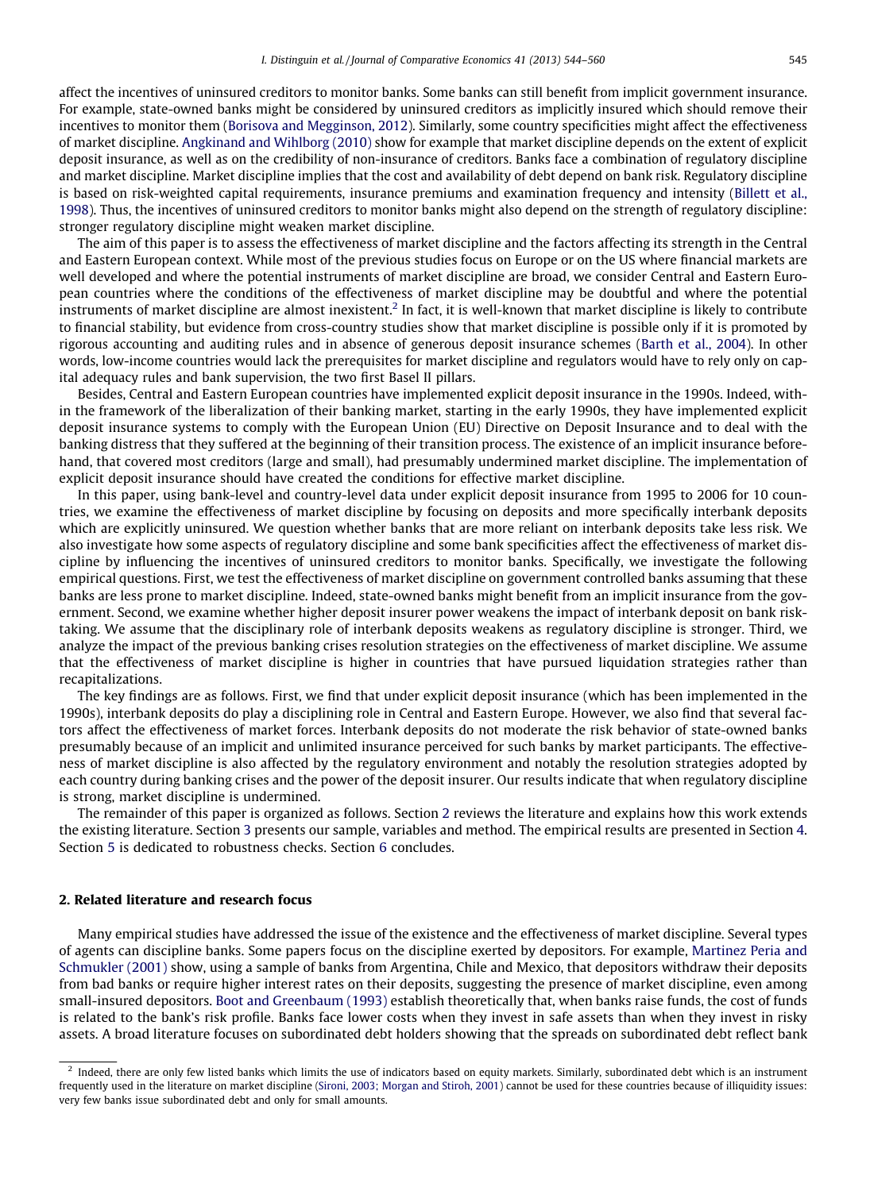affect the incentives of uninsured creditors to monitor banks. Some banks can still benefit from implicit government insurance. For example, state-owned banks might be considered by uninsured creditors as implicitly insured which should remove their incentives to monitor them [\(Borisova and Megginson, 2012](#page--1-0)). Similarly, some country specificities might affect the effectiveness of market discipline. [Angkinand and Wihlborg \(2010\)](#page--1-0) show for example that market discipline depends on the extent of explicit deposit insurance, as well as on the credibility of non-insurance of creditors. Banks face a combination of regulatory discipline and market discipline. Market discipline implies that the cost and availability of debt depend on bank risk. Regulatory discipline is based on risk-weighted capital requirements, insurance premiums and examination frequency and intensity ([Billett et al.,](#page--1-0) [1998](#page--1-0)). Thus, the incentives of uninsured creditors to monitor banks might also depend on the strength of regulatory discipline: stronger regulatory discipline might weaken market discipline.

The aim of this paper is to assess the effectiveness of market discipline and the factors affecting its strength in the Central and Eastern European context. While most of the previous studies focus on Europe or on the US where financial markets are well developed and where the potential instruments of market discipline are broad, we consider Central and Eastern European countries where the conditions of the effectiveness of market discipline may be doubtful and where the potential instruments of market discipline are almost inexistent.<sup>2</sup> In fact, it is well-known that market discipline is likely to contribute to financial stability, but evidence from cross-country studies show that market discipline is possible only if it is promoted by rigorous accounting and auditing rules and in absence of generous deposit insurance schemes ([Barth et al., 2004\)](#page--1-0). In other words, low-income countries would lack the prerequisites for market discipline and regulators would have to rely only on capital adequacy rules and bank supervision, the two first Basel II pillars.

Besides, Central and Eastern European countries have implemented explicit deposit insurance in the 1990s. Indeed, within the framework of the liberalization of their banking market, starting in the early 1990s, they have implemented explicit deposit insurance systems to comply with the European Union (EU) Directive on Deposit Insurance and to deal with the banking distress that they suffered at the beginning of their transition process. The existence of an implicit insurance beforehand, that covered most creditors (large and small), had presumably undermined market discipline. The implementation of explicit deposit insurance should have created the conditions for effective market discipline.

In this paper, using bank-level and country-level data under explicit deposit insurance from 1995 to 2006 for 10 countries, we examine the effectiveness of market discipline by focusing on deposits and more specifically interbank deposits which are explicitly uninsured. We question whether banks that are more reliant on interbank deposits take less risk. We also investigate how some aspects of regulatory discipline and some bank specificities affect the effectiveness of market discipline by influencing the incentives of uninsured creditors to monitor banks. Specifically, we investigate the following empirical questions. First, we test the effectiveness of market discipline on government controlled banks assuming that these banks are less prone to market discipline. Indeed, state-owned banks might benefit from an implicit insurance from the government. Second, we examine whether higher deposit insurer power weakens the impact of interbank deposit on bank risktaking. We assume that the disciplinary role of interbank deposits weakens as regulatory discipline is stronger. Third, we analyze the impact of the previous banking crises resolution strategies on the effectiveness of market discipline. We assume that the effectiveness of market discipline is higher in countries that have pursued liquidation strategies rather than recapitalizations.

The key findings are as follows. First, we find that under explicit deposit insurance (which has been implemented in the 1990s), interbank deposits do play a disciplining role in Central and Eastern Europe. However, we also find that several factors affect the effectiveness of market forces. Interbank deposits do not moderate the risk behavior of state-owned banks presumably because of an implicit and unlimited insurance perceived for such banks by market participants. The effectiveness of market discipline is also affected by the regulatory environment and notably the resolution strategies adopted by each country during banking crises and the power of the deposit insurer. Our results indicate that when regulatory discipline is strong, market discipline is undermined.

The remainder of this paper is organized as follows. Section 2 reviews the literature and explains how this work extends the existing literature. Section 3 presents our sample, variables and method. The empirical results are presented in Section 4. Section 5 is dedicated to robustness checks. Section 6 concludes.

#### 2. Related literature and research focus

Many empirical studies have addressed the issue of the existence and the effectiveness of market discipline. Several types of agents can discipline banks. Some papers focus on the discipline exerted by depositors. For example, [Martinez Peria and](#page--1-0) [Schmukler \(2001\)](#page--1-0) show, using a sample of banks from Argentina, Chile and Mexico, that depositors withdraw their deposits from bad banks or require higher interest rates on their deposits, suggesting the presence of market discipline, even among small-insured depositors. [Boot and Greenbaum \(1993\)](#page--1-0) establish theoretically that, when banks raise funds, the cost of funds is related to the bank's risk profile. Banks face lower costs when they invest in safe assets than when they invest in risky assets. A broad literature focuses on subordinated debt holders showing that the spreads on subordinated debt reflect bank

 $<sup>2</sup>$  Indeed, there are only few listed banks which limits the use of indicators based on equity markets. Similarly, subordinated debt which is an instrument</sup> frequently used in the literature on market discipline [\(Sironi, 2003; Morgan and Stiroh, 2001](#page--1-0)) cannot be used for these countries because of illiquidity issues: very few banks issue subordinated debt and only for small amounts.